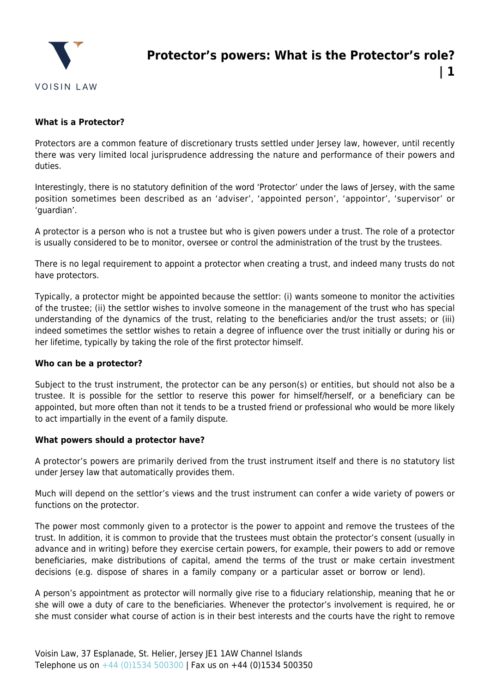

**| 1**

# **What is a Protector?**

Protectors are a common feature of discretionary trusts settled under Jersey law, however, until recently there was very limited local jurisprudence addressing the nature and performance of their powers and duties.

Interestingly, there is no statutory definition of the word 'Protector' under the laws of Jersey, with the same position sometimes been described as an 'adviser', 'appointed person', 'appointor', 'supervisor' or 'guardian'.

A protector is a person who is not a trustee but who is given powers under a trust. The role of a protector is usually considered to be to monitor, oversee or control the administration of the trust by the trustees.

There is no legal requirement to appoint a protector when creating a trust, and indeed many trusts do not have protectors.

Typically, a protector might be appointed because the settlor: (i) wants someone to monitor the activities of the trustee; (ii) the settlor wishes to involve someone in the management of the trust who has special understanding of the dynamics of the trust, relating to the beneficiaries and/or the trust assets; or (iii) indeed sometimes the settlor wishes to retain a degree of influence over the trust initially or during his or her lifetime, typically by taking the role of the first protector himself.

#### **Who can be a protector?**

Subject to the trust instrument, the protector can be any person(s) or entities, but should not also be a trustee. It is possible for the settlor to reserve this power for himself/herself, or a beneficiary can be appointed, but more often than not it tends to be a trusted friend or professional who would be more likely to act impartially in the event of a family dispute.

#### **What powers should a protector have?**

A protector's powers are primarily derived from the trust instrument itself and there is no statutory list under Jersey law that automatically provides them.

Much will depend on the settlor's views and the trust instrument can confer a wide variety of powers or functions on the protector.

The power most commonly given to a protector is the power to appoint and remove the trustees of the trust. In addition, it is common to provide that the trustees must obtain the protector's consent (usually in advance and in writing) before they exercise certain powers, for example, their powers to add or remove beneficiaries, make distributions of capital, amend the terms of the trust or make certain investment decisions (e.g. dispose of shares in a family company or a particular asset or borrow or lend).

A person's appointment as protector will normally give rise to a fiduciary relationship, meaning that he or she will owe a duty of care to the beneficiaries. Whenever the protector's involvement is required, he or she must consider what course of action is in their best interests and the courts have the right to remove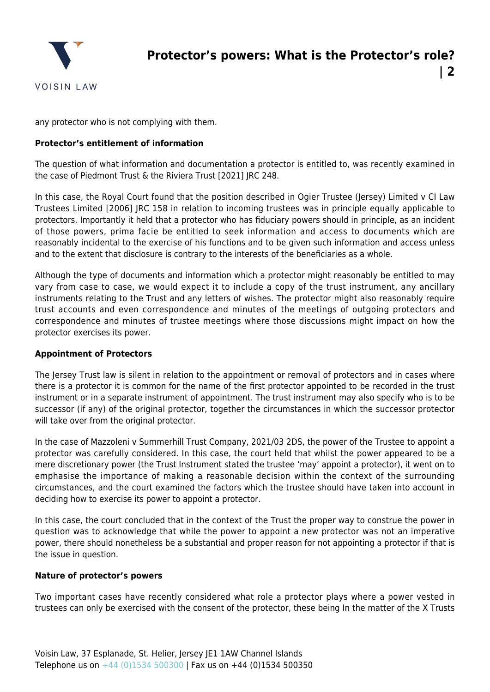

any protector who is not complying with them.

## **Protector's entitlement of information**

The question of what information and documentation a protector is entitled to, was recently examined in the case of Piedmont Trust & the Riviera Trust [2021] JRC 248.

In this case, the Royal Court found that the position described in Ogier Trustee (Jersey) Limited v CI Law Trustees Limited [2006] JRC 158 in relation to incoming trustees was in principle equally applicable to protectors. Importantly it held that a protector who has fiduciary powers should in principle, as an incident of those powers, prima facie be entitled to seek information and access to documents which are reasonably incidental to the exercise of his functions and to be given such information and access unless and to the extent that disclosure is contrary to the interests of the beneficiaries as a whole.

Although the type of documents and information which a protector might reasonably be entitled to may vary from case to case, we would expect it to include a copy of the trust instrument, any ancillary instruments relating to the Trust and any letters of wishes. The protector might also reasonably require trust accounts and even correspondence and minutes of the meetings of outgoing protectors and correspondence and minutes of trustee meetings where those discussions might impact on how the protector exercises its power.

#### **Appointment of Protectors**

The Jersey Trust law is silent in relation to the appointment or removal of protectors and in cases where there is a protector it is common for the name of the first protector appointed to be recorded in the trust instrument or in a separate instrument of appointment. The trust instrument may also specify who is to be successor (if any) of the original protector, together the circumstances in which the successor protector will take over from the original protector.

In the case of Mazzoleni v Summerhill Trust Company, 2021/03 2DS, the power of the Trustee to appoint a protector was carefully considered. In this case, the court held that whilst the power appeared to be a mere discretionary power (the Trust Instrument stated the trustee 'may' appoint a protector), it went on to emphasise the importance of making a reasonable decision within the context of the surrounding circumstances, and the court examined the factors which the trustee should have taken into account in deciding how to exercise its power to appoint a protector.

In this case, the court concluded that in the context of the Trust the proper way to construe the power in question was to acknowledge that while the power to appoint a new protector was not an imperative power, there should nonetheless be a substantial and proper reason for not appointing a protector if that is the issue in question.

## **Nature of protector's powers**

Two important cases have recently considered what role a protector plays where a power vested in trustees can only be exercised with the consent of the protector, these being In the matter of the X Trusts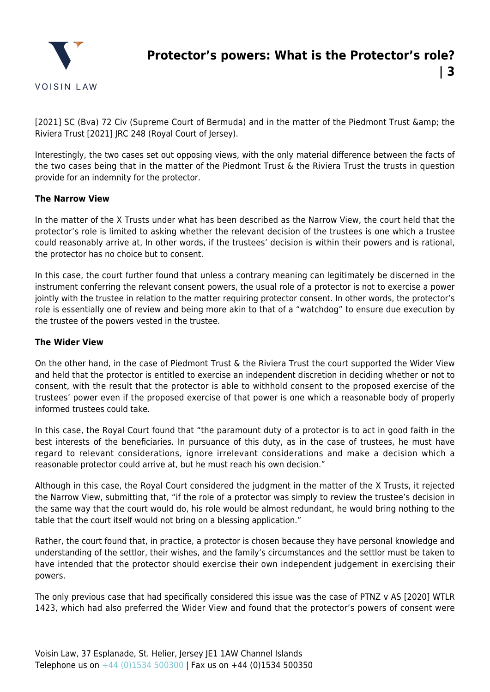

**| 3**

[2021] SC (Bva) 72 Civ (Supreme Court of Bermuda) and in the matter of the Piedmont Trust & amp; the Riviera Trust [2021] JRC 248 (Royal Court of Jersey).

Interestingly, the two cases set out opposing views, with the only material difference between the facts of the two cases being that in the matter of the Piedmont Trust & the Riviera Trust the trusts in question provide for an indemnity for the protector.

# **The Narrow View**

In the matter of the X Trusts under what has been described as the Narrow View, the court held that the protector's role is limited to asking whether the relevant decision of the trustees is one which a trustee could reasonably arrive at, In other words, if the trustees' decision is within their powers and is rational, the protector has no choice but to consent.

In this case, the court further found that unless a contrary meaning can legitimately be discerned in the instrument conferring the relevant consent powers, the usual role of a protector is not to exercise a power jointly with the trustee in relation to the matter requiring protector consent. In other words, the protector's role is essentially one of review and being more akin to that of a "watchdog" to ensure due execution by the trustee of the powers vested in the trustee.

## **The Wider View**

On the other hand, in the case of Piedmont Trust & the Riviera Trust the court supported the Wider View and held that the protector is entitled to exercise an independent discretion in deciding whether or not to consent, with the result that the protector is able to withhold consent to the proposed exercise of the trustees' power even if the proposed exercise of that power is one which a reasonable body of properly informed trustees could take.

In this case, the Royal Court found that "the paramount duty of a protector is to act in good faith in the best interests of the beneficiaries. In pursuance of this duty, as in the case of trustees, he must have regard to relevant considerations, ignore irrelevant considerations and make a decision which a reasonable protector could arrive at, but he must reach his own decision."

Although in this case, the Royal Court considered the judgment in the matter of the X Trusts, it rejected the Narrow View, submitting that, "if the role of a protector was simply to review the trustee's decision in the same way that the court would do, his role would be almost redundant, he would bring nothing to the table that the court itself would not bring on a blessing application."

Rather, the court found that, in practice, a protector is chosen because they have personal knowledge and understanding of the settlor, their wishes, and the family's circumstances and the settlor must be taken to have intended that the protector should exercise their own independent judgement in exercising their powers.

The only previous case that had specifically considered this issue was the case of PTNZ v AS [2020] WTLR 1423, which had also preferred the Wider View and found that the protector's powers of consent were